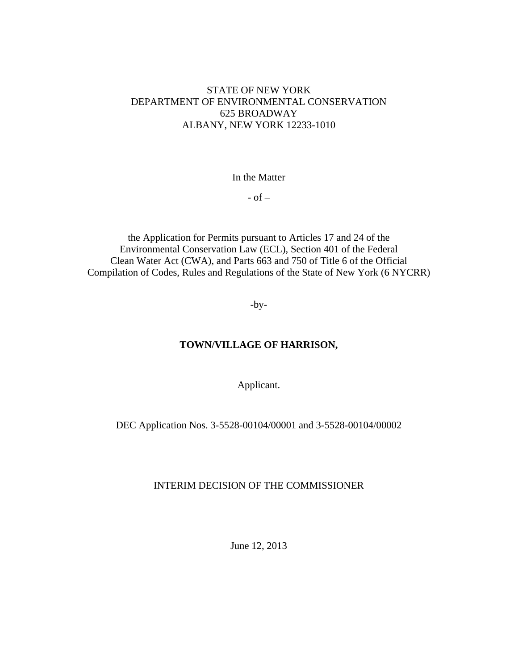# STATE OF NEW YORK DEPARTMENT OF ENVIRONMENTAL CONSERVATION 625 BROADWAY ALBANY, NEW YORK 12233-1010

In the Matter

 $-$  of  $-$ 

the Application for Permits pursuant to Articles 17 and 24 of the Environmental Conservation Law (ECL), Section 401 of the Federal Clean Water Act (CWA), and Parts 663 and 750 of Title 6 of the Official Compilation of Codes, Rules and Regulations of the State of New York (6 NYCRR)

-by-

## **TOWN/VILLAGE OF HARRISON,**

Applicant.

DEC Application Nos. 3-5528-00104/00001 and 3-5528-00104/00002

## INTERIM DECISION OF THE COMMISSIONER

June 12, 2013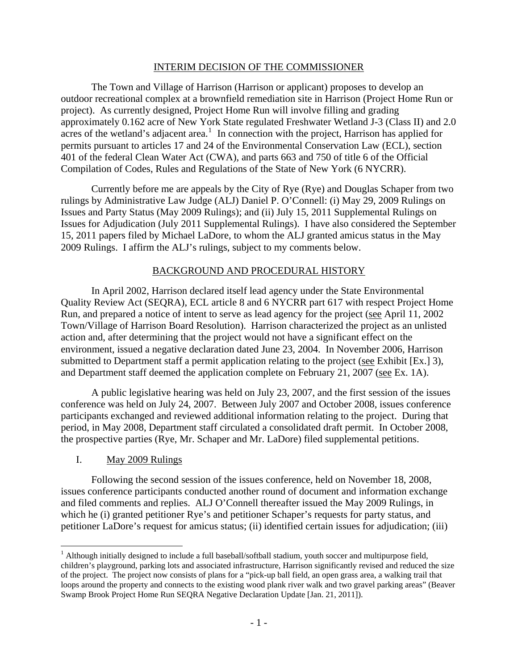#### INTERIM DECISION OF THE COMMISSIONER

The Town and Village of Harrison (Harrison or applicant) proposes to develop an outdoor recreational complex at a brownfield remediation site in Harrison (Project Home Run or project). As currently designed, Project Home Run will involve filling and grading approximately 0.162 acre of New York State regulated Freshwater Wetland J-3 (Class II) and 2.0 acres of the wetland's adjacent area.<sup>[1](#page-1-0)</sup> In connection with the project, Harrison has applied for permits pursuant to articles 17 and 24 of the Environmental Conservation Law (ECL), section 401 of the federal Clean Water Act (CWA), and parts 663 and 750 of title 6 of the Official Compilation of Codes, Rules and Regulations of the State of New York (6 NYCRR).

Currently before me are appeals by the City of Rye (Rye) and Douglas Schaper from two rulings by Administrative Law Judge (ALJ) Daniel P. O'Connell: (i) May 29, 2009 Rulings on Issues and Party Status (May 2009 Rulings); and (ii) July 15, 2011 Supplemental Rulings on Issues for Adjudication (July 2011 Supplemental Rulings). I have also considered the September 15, 2011 papers filed by Michael LaDore, to whom the ALJ granted amicus status in the May 2009 Rulings. I affirm the ALJ's rulings, subject to my comments below.

## BACKGROUND AND PROCEDURAL HISTORY

In April 2002, Harrison declared itself lead agency under the State Environmental Quality Review Act (SEQRA), ECL article 8 and 6 NYCRR part 617 with respect Project Home Run, and prepared a notice of intent to serve as lead agency for the project (see April 11, 2002 Town/Village of Harrison Board Resolution). Harrison characterized the project as an unlisted action and, after determining that the project would not have a significant effect on the environment, issued a negative declaration dated June 23, 2004. In November 2006, Harrison submitted to Department staff a permit application relating to the project (see Exhibit [Ex.] 3), and Department staff deemed the application complete on February 21, 2007 (see Ex. 1A).

A public legislative hearing was held on July 23, 2007, and the first session of the issues conference was held on July 24, 2007. Between July 2007 and October 2008, issues conference participants exchanged and reviewed additional information relating to the project. During that period, in May 2008, Department staff circulated a consolidated draft permit. In October 2008, the prospective parties (Rye, Mr. Schaper and Mr. LaDore) filed supplemental petitions.

# I. May 2009 Rulings

Following the second session of the issues conference, held on November 18, 2008, issues conference participants conducted another round of document and information exchange and filed comments and replies. ALJ O'Connell thereafter issued the May 2009 Rulings, in which he (i) granted petitioner Rye's and petitioner Schaper's requests for party status, and petitioner LaDore's request for amicus status; (ii) identified certain issues for adjudication; (iii)

<span id="page-1-0"></span><sup>&</sup>lt;sup>1</sup> Although initially designed to include a full baseball/softball stadium, youth soccer and multipurpose field, children's playground, parking lots and associated infrastructure, Harrison significantly revised and reduced the size of the project. The project now consists of plans for a "pick-up ball field, an open grass area, a walking trail that loops around the property and connects to the existing wood plank river walk and two gravel parking areas" (Beaver Swamp Brook Project Home Run SEQRA Negative Declaration Update [Jan. 21, 2011]).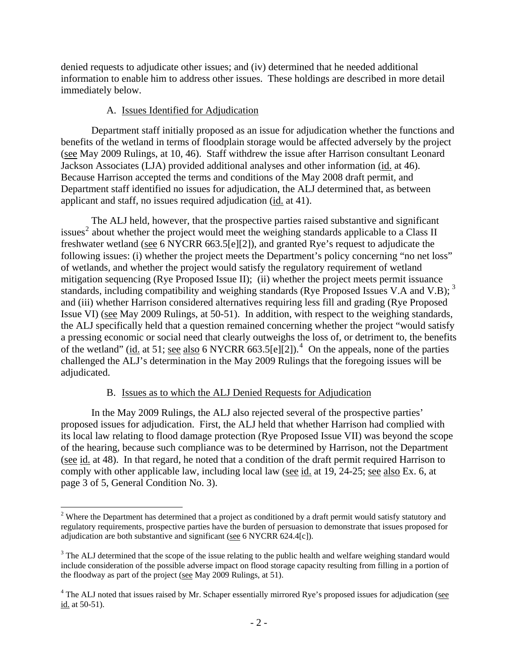denied requests to adjudicate other issues; and (iv) determined that he needed additional information to enable him to address other issues. These holdings are described in more detail immediately below.

## A. Issues Identified for Adjudication

Department staff initially proposed as an issue for adjudication whether the functions and benefits of the wetland in terms of floodplain storage would be affected adversely by the project (see May 2009 Rulings, at 10, 46). Staff withdrew the issue after Harrison consultant Leonard Jackson Associates (LJA) provided additional analyses and other information (id. at 46). Because Harrison accepted the terms and conditions of the May 2008 draft permit, and Department staff identified no issues for adjudication, the ALJ determined that, as between applicant and staff, no issues required adjudication (id. at 41).

The ALJ held, however, that the prospective parties raised substantive and significant issues<sup>[2](#page-2-0)</sup> about whether the project would meet the weighing standards applicable to a Class II freshwater wetland (see 6 NYCRR 663.5[e][2]), and granted Rye's request to adjudicate the following issues: (i) whether the project meets the Department's policy concerning "no net loss" of wetlands, and whether the project would satisfy the regulatory requirement of wetland mitigation sequencing (Rye Proposed Issue II); (ii) whether the project meets permit issuance standards, including compatibility and weighing standards (Rye Proposed Issues V.A and V.B);  $3$ and (iii) whether Harrison considered alternatives requiring less fill and grading (Rye Proposed Issue VI) (see May 2009 Rulings, at 50-51). In addition, with respect to the weighing standards, the ALJ specifically held that a question remained concerning whether the project "would satisfy a pressing economic or social need that clearly outweighs the loss of, or detriment to, the benefits of the wetland" (id. at 51; see also 6 NYCRR 663.5[e][2]).<sup>[4](#page-2-2)</sup> On the appeals, none of the parties challenged the ALJ's determination in the May 2009 Rulings that the foregoing issues will be adjudicated.

# B. Issues as to which the ALJ Denied Requests for Adjudication

In the May 2009 Rulings, the ALJ also rejected several of the prospective parties' proposed issues for adjudication. First, the ALJ held that whether Harrison had complied with its local law relating to flood damage protection (Rye Proposed Issue VII) was beyond the scope of the hearing, because such compliance was to be determined by Harrison, not the Department (see id. at 48). In that regard, he noted that a condition of the draft permit required Harrison to comply with other applicable law, including local law (see id. at 19, 24-25; see also Ex. 6, at page 3 of 5, General Condition No. 3).

<span id="page-2-0"></span> $2$  Where the Department has determined that a project as conditioned by a draft permit would satisfy statutory and regulatory requirements, prospective parties have the burden of persuasion to demonstrate that issues proposed for adjudication are both substantive and significant (see 6 NYCRR 624.4[c]).

<span id="page-2-1"></span> $3$  The ALJ determined that the scope of the issue relating to the public health and welfare weighing standard would include consideration of the possible adverse impact on flood storage capacity resulting from filling in a portion of the floodway as part of the project (see May 2009 Rulings, at 51).

<span id="page-2-2"></span><sup>&</sup>lt;sup>4</sup> The ALJ noted that issues raised by Mr. Schaper essentially mirrored Rye's proposed issues for adjudication (see id. at 50-51).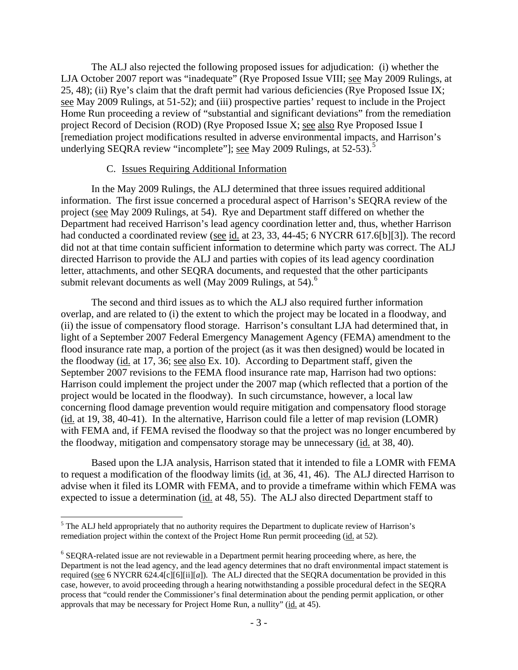The ALJ also rejected the following proposed issues for adjudication: (i) whether the LJA October 2007 report was "inadequate" (Rye Proposed Issue VIII; see May 2009 Rulings, at 25, 48); (ii) Rye's claim that the draft permit had various deficiencies (Rye Proposed Issue IX; see May 2009 Rulings, at 51-52); and (iii) prospective parties' request to include in the Project Home Run proceeding a review of "substantial and significant deviations" from the remediation project Record of Decision (ROD) (Rye Proposed Issue X; see also Rye Proposed Issue I [remediation project modifications resulted in adverse environmental impacts, and Harrison's underlying SEQRA review "incomplete"]; <u>see</u> May 2009 Rulings, at [5](#page-3-0)2-53).<sup>5</sup>

### C. Issues Requiring Additional Information

In the May 2009 Rulings, the ALJ determined that three issues required additional information. The first issue concerned a procedural aspect of Harrison's SEQRA review of the project (see May 2009 Rulings, at 54). Rye and Department staff differed on whether the Department had received Harrison's lead agency coordination letter and, thus, whether Harrison had conducted a coordinated review (see id. at 23, 33, 44-45; 6 NYCRR 617.6[b][3]). The record did not at that time contain sufficient information to determine which party was correct. The ALJ directed Harrison to provide the ALJ and parties with copies of its lead agency coordination letter, attachments, and other SEQRA documents, and requested that the other participants submit relevant documents as well (May 2009 Rulings, at  $54$ ).<sup>[6](#page-3-1)</sup>

The second and third issues as to which the ALJ also required further information overlap, and are related to (i) the extent to which the project may be located in a floodway, and (ii) the issue of compensatory flood storage. Harrison's consultant LJA had determined that, in light of a September 2007 Federal Emergency Management Agency (FEMA) amendment to the flood insurance rate map, a portion of the project (as it was then designed) would be located in the floodway (id. at 17, 36; see also Ex. 10). According to Department staff, given the September 2007 revisions to the FEMA flood insurance rate map, Harrison had two options: Harrison could implement the project under the 2007 map (which reflected that a portion of the project would be located in the floodway). In such circumstance, however, a local law concerning flood damage prevention would require mitigation and compensatory flood storage (id. at 19, 38, 40-41). In the alternative, Harrison could file a letter of map revision (LOMR) with FEMA and, if FEMA revised the floodway so that the project was no longer encumbered by the floodway, mitigation and compensatory storage may be unnecessary (id. at 38, 40).

Based upon the LJA analysis, Harrison stated that it intended to file a LOMR with FEMA to request a modification of the floodway limits (id. at 36, 41, 46). The ALJ directed Harrison to advise when it filed its LOMR with FEMA, and to provide a timeframe within which FEMA was expected to issue a determination (id. at 48, 55). The ALJ also directed Department staff to

<span id="page-3-0"></span><sup>&</sup>lt;sup>5</sup> The ALJ held appropriately that no authority requires the Department to duplicate review of Harrison's remediation project within the context of the Project Home Run permit proceeding (id. at 52).

<span id="page-3-1"></span><sup>&</sup>lt;sup>6</sup> SEQRA-related issue are not reviewable in a Department permit hearing proceeding where, as here, the Department is not the lead agency, and the lead agency determines that no draft environmental impact statement is required (see 6 NYCRR 624.4[c][6][ii][*a*]). The ALJ directed that the SEQRA documentation be provided in this case, however, to avoid proceeding through a hearing notwithstanding a possible procedural defect in the SEQRA process that "could render the Commissioner's final determination about the pending permit application, or other approvals that may be necessary for Project Home Run, a nullity" (id. at 45).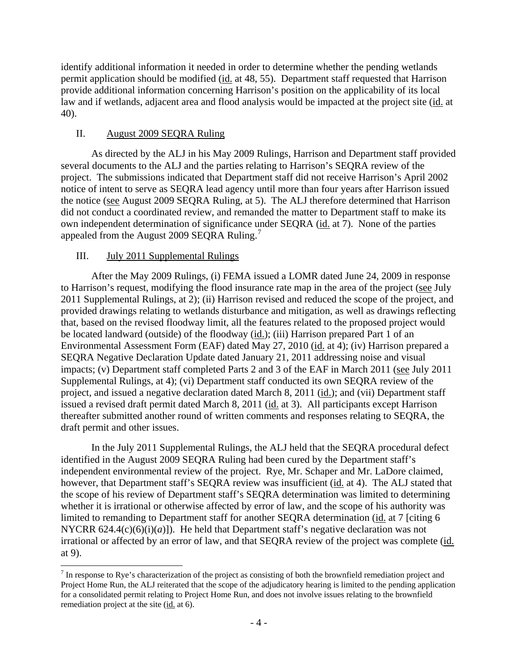identify additional information it needed in order to determine whether the pending wetlands permit application should be modified (id. at 48, 55). Department staff requested that Harrison provide additional information concerning Harrison's position on the applicability of its local law and if wetlands, adjacent area and flood analysis would be impacted at the project site (id. at 40).

# II. August 2009 SEQRA Ruling

As directed by the ALJ in his May 2009 Rulings, Harrison and Department staff provided several documents to the ALJ and the parties relating to Harrison's SEQRA review of the project. The submissions indicated that Department staff did not receive Harrison's April 2002 notice of intent to serve as SEQRA lead agency until more than four years after Harrison issued the notice (see August 2009 SEQRA Ruling, at 5). The ALJ therefore determined that Harrison did not conduct a coordinated review, and remanded the matter to Department staff to make its own independent determination of significance under SEQRA (id. at 7). None of the parties appealed from the August 2009 SEQRA Ruling.<sup>[7](#page-4-0)</sup>

# III. July 2011 Supplemental Rulings

After the May 2009 Rulings, (i) FEMA issued a LOMR dated June 24, 2009 in response to Harrison's request, modifying the flood insurance rate map in the area of the project (see July 2011 Supplemental Rulings, at 2); (ii) Harrison revised and reduced the scope of the project, and provided drawings relating to wetlands disturbance and mitigation, as well as drawings reflecting that, based on the revised floodway limit, all the features related to the proposed project would be located landward (outside) of the floodway (id.); (iii) Harrison prepared Part 1 of an Environmental Assessment Form (EAF) dated May 27, 2010 (id. at 4); (iv) Harrison prepared a SEQRA Negative Declaration Update dated January 21, 2011 addressing noise and visual impacts; (v) Department staff completed Parts 2 and 3 of the EAF in March 2011 (see July 2011 Supplemental Rulings, at 4); (vi) Department staff conducted its own SEQRA review of the project, and issued a negative declaration dated March 8, 2011 (id.); and (vii) Department staff issued a revised draft permit dated March 8, 2011 (id. at 3). All participants except Harrison thereafter submitted another round of written comments and responses relating to SEQRA, the draft permit and other issues.

In the July 2011 Supplemental Rulings, the ALJ held that the SEQRA procedural defect identified in the August 2009 SEQRA Ruling had been cured by the Department staff's independent environmental review of the project. Rye, Mr. Schaper and Mr. LaDore claimed, however, that Department staff's SEQRA review was insufficient (id. at 4). The ALJ stated that the scope of his review of Department staff's SEQRA determination was limited to determining whether it is irrational or otherwise affected by error of law, and the scope of his authority was limited to remanding to Department staff for another SEQRA determination (id. at 7 [citing 6 NYCRR  $624.4(c)(6)(i)(a)$ ]). He held that Department staff's negative declaration was not irrational or affected by an error of law, and that SEQRA review of the project was complete (id. at 9).

<span id="page-4-0"></span>  $<sup>7</sup>$  In response to Rye's characterization of the project as consisting of both the brownfield remediation project and</sup> Project Home Run, the ALJ reiterated that the scope of the adjudicatory hearing is limited to the pending application for a consolidated permit relating to Project Home Run, and does not involve issues relating to the brownfield remediation project at the site (id. at 6).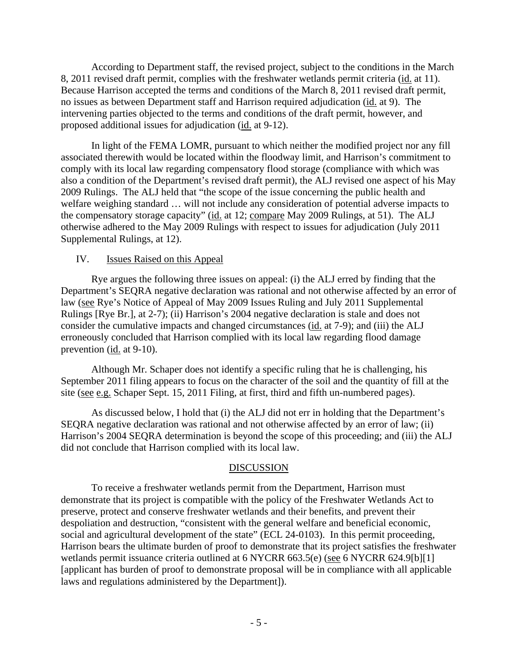According to Department staff, the revised project, subject to the conditions in the March 8, 2011 revised draft permit, complies with the freshwater wetlands permit criteria (id. at 11). Because Harrison accepted the terms and conditions of the March 8, 2011 revised draft permit, no issues as between Department staff and Harrison required adjudication (id. at 9). The intervening parties objected to the terms and conditions of the draft permit, however, and proposed additional issues for adjudication (id. at 9-12).

In light of the FEMA LOMR, pursuant to which neither the modified project nor any fill associated therewith would be located within the floodway limit, and Harrison's commitment to comply with its local law regarding compensatory flood storage (compliance with which was also a condition of the Department's revised draft permit), the ALJ revised one aspect of his May 2009 Rulings. The ALJ held that "the scope of the issue concerning the public health and welfare weighing standard … will not include any consideration of potential adverse impacts to the compensatory storage capacity" (id. at 12; compare May 2009 Rulings, at 51). The ALJ otherwise adhered to the May 2009 Rulings with respect to issues for adjudication (July 2011 Supplemental Rulings, at 12).

#### IV. Issues Raised on this Appeal

Rye argues the following three issues on appeal: (i) the ALJ erred by finding that the Department's SEQRA negative declaration was rational and not otherwise affected by an error of law (see Rye's Notice of Appeal of May 2009 Issues Ruling and July 2011 Supplemental Rulings [Rye Br.], at 2-7); (ii) Harrison's 2004 negative declaration is stale and does not consider the cumulative impacts and changed circumstances (id. at 7-9); and (iii) the ALJ erroneously concluded that Harrison complied with its local law regarding flood damage prevention (id. at 9-10).

Although Mr. Schaper does not identify a specific ruling that he is challenging, his September 2011 filing appears to focus on the character of the soil and the quantity of fill at the site (see e.g. Schaper Sept. 15, 2011 Filing, at first, third and fifth un-numbered pages).

As discussed below, I hold that (i) the ALJ did not err in holding that the Department's SEQRA negative declaration was rational and not otherwise affected by an error of law; (ii) Harrison's 2004 SEQRA determination is beyond the scope of this proceeding; and (iii) the ALJ did not conclude that Harrison complied with its local law.

#### DISCUSSION

 To receive a freshwater wetlands permit from the Department, Harrison must demonstrate that its project is compatible with the policy of the Freshwater Wetlands Act to preserve, protect and conserve freshwater wetlands and their benefits, and prevent their despoliation and destruction, "consistent with the general welfare and beneficial economic, social and agricultural development of the state" (ECL 24-0103). In this permit proceeding, Harrison bears the ultimate burden of proof to demonstrate that its project satisfies the freshwater wetlands permit issuance criteria outlined at 6 NYCRR 663.5(e) (see 6 NYCRR 624.9[b][1] [applicant has burden of proof to demonstrate proposal will be in compliance with all applicable laws and regulations administered by the Department]).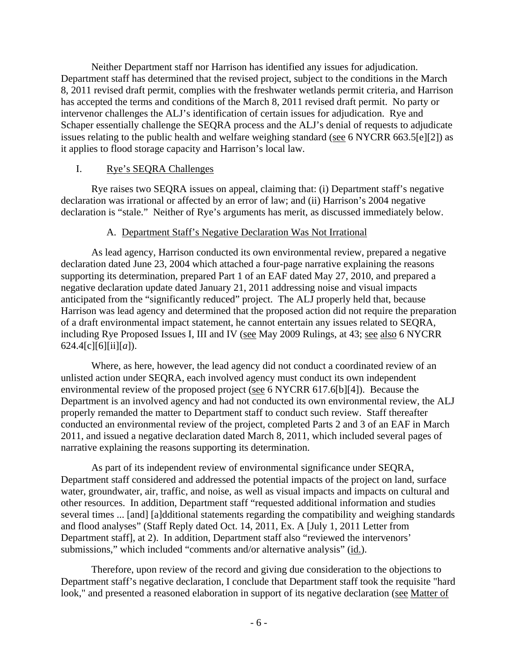Neither Department staff nor Harrison has identified any issues for adjudication. Department staff has determined that the revised project, subject to the conditions in the March 8, 2011 revised draft permit, complies with the freshwater wetlands permit criteria, and Harrison has accepted the terms and conditions of the March 8, 2011 revised draft permit. No party or intervenor challenges the ALJ's identification of certain issues for adjudication. Rye and Schaper essentially challenge the SEQRA process and the ALJ's denial of requests to adjudicate issues relating to the public health and welfare weighing standard (see 6 NYCRR 663.5[e][2]) as it applies to flood storage capacity and Harrison's local law.

## I. Rye's SEQRA Challenges

Rye raises two SEQRA issues on appeal, claiming that: (i) Department staff's negative declaration was irrational or affected by an error of law; and (ii) Harrison's 2004 negative declaration is "stale." Neither of Rye's arguments has merit, as discussed immediately below.

# A. Department Staff's Negative Declaration Was Not Irrational

 As lead agency, Harrison conducted its own environmental review, prepared a negative declaration dated June 23, 2004 which attached a four-page narrative explaining the reasons supporting its determination, prepared Part 1 of an EAF dated May 27, 2010, and prepared a negative declaration update dated January 21, 2011 addressing noise and visual impacts anticipated from the "significantly reduced" project. The ALJ properly held that, because Harrison was lead agency and determined that the proposed action did not require the preparation of a draft environmental impact statement, he cannot entertain any issues related to SEQRA, including Rye Proposed Issues I, III and IV (see May 2009 Rulings, at 43; see also 6 NYCRR 624.4[c][6][ii][*a*]).

Where, as here, however, the lead agency did not conduct a coordinated review of an unlisted action under SEQRA, each involved agency must conduct its own independent environmental review of the proposed project (see 6 NYCRR 617.6[b][4]). Because the Department is an involved agency and had not conducted its own environmental review, the ALJ properly remanded the matter to Department staff to conduct such review. Staff thereafter conducted an environmental review of the project, completed Parts 2 and 3 of an EAF in March 2011, and issued a negative declaration dated March 8, 2011, which included several pages of narrative explaining the reasons supporting its determination.

As part of its independent review of environmental significance under SEQRA, Department staff considered and addressed the potential impacts of the project on land, surface water, groundwater, air, traffic, and noise, as well as visual impacts and impacts on cultural and other resources. In addition, Department staff "requested additional information and studies several times ... [and] [a]dditional statements regarding the compatibility and weighing standards and flood analyses" (Staff Reply dated Oct. 14, 2011, Ex. A [July 1, 2011 Letter from Department staff], at 2). In addition, Department staff also "reviewed the intervenors' submissions," which included "comments and/or alternative analysis" (id.).

Therefore, upon review of the record and giving due consideration to the objections to Department staff's negative declaration, I conclude that Department staff took the requisite "hard look," and presented a reasoned elaboration in support of its negative declaration (see Matter of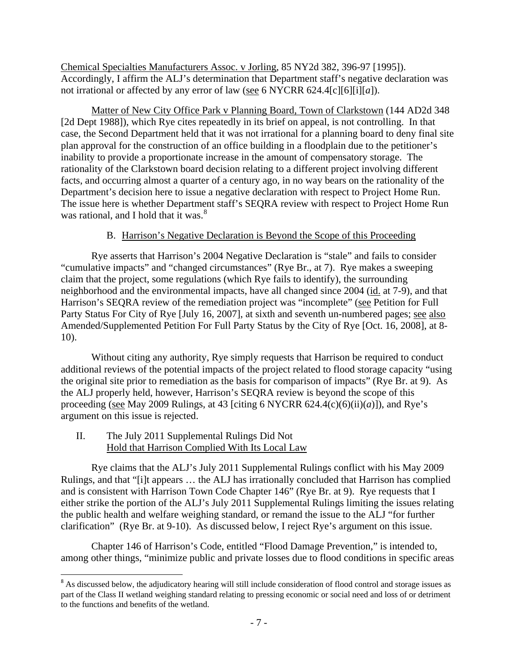Chemical Specialties Manufacturers Assoc. v Jorling, 85 NY2d 382, 396-97 [1995]). Accordingly, I affirm the ALJ's determination that Department staff's negative declaration was not irrational or affected by any error of law (see 6 NYCRR 624.4[c][6][i][*a*]).

Matter of New City Office Park v Planning Board, Town of Clarkstown (144 AD2d 348 [2d Dept 1988]), which Rye cites repeatedly in its brief on appeal, is not controlling. In that case, the Second Department held that it was not irrational for a planning board to deny final site plan approval for the construction of an office building in a floodplain due to the petitioner's inability to provide a proportionate increase in the amount of compensatory storage. The rationality of the Clarkstown board decision relating to a different project involving different facts, and occurring almost a quarter of a century ago, in no way bears on the rationality of the Department's decision here to issue a negative declaration with respect to Project Home Run. The issue here is whether Department staff's SEQRA review with respect to Project Home Run was rational, and I hold that it was. $8<sup>8</sup>$  $8<sup>8</sup>$ 

# B. Harrison's Negative Declaration is Beyond the Scope of this Proceeding

Rye asserts that Harrison's 2004 Negative Declaration is "stale" and fails to consider "cumulative impacts" and "changed circumstances" (Rye Br., at 7). Rye makes a sweeping claim that the project, some regulations (which Rye fails to identify), the surrounding neighborhood and the environmental impacts, have all changed since 2004 (id. at 7-9), and that Harrison's SEQRA review of the remediation project was "incomplete" (see Petition for Full Party Status For City of Rye [July 16, 2007], at sixth and seventh un-numbered pages; see also Amended/Supplemented Petition For Full Party Status by the City of Rye [Oct. 16, 2008], at 8- 10).

Without citing any authority, Rye simply requests that Harrison be required to conduct additional reviews of the potential impacts of the project related to flood storage capacity "using the original site prior to remediation as the basis for comparison of impacts" (Rye Br. at 9). As the ALJ properly held, however, Harrison's SEQRA review is beyond the scope of this proceeding (see May 2009 Rulings, at 43 [citing 6 NYCRR  $624.4(c)(6)(ii)(a)$ ]), and Rye's argument on this issue is rejected.

II. The July 2011 Supplemental Rulings Did Not Hold that Harrison Complied With Its Local Law

Rye claims that the ALJ's July 2011 Supplemental Rulings conflict with his May 2009 Rulings, and that "[i]t appears … the ALJ has irrationally concluded that Harrison has complied and is consistent with Harrison Town Code Chapter 146" (Rye Br. at 9). Rye requests that I either strike the portion of the ALJ's July 2011 Supplemental Rulings limiting the issues relating the public health and welfare weighing standard, or remand the issue to the ALJ "for further clarification" (Rye Br. at 9-10). As discussed below, I reject Rye's argument on this issue.

Chapter 146 of Harrison's Code, entitled "Flood Damage Prevention," is intended to, among other things, "minimize public and private losses due to flood conditions in specific areas

<span id="page-7-0"></span><sup>&</sup>lt;sup>8</sup> As discussed below, the adjudicatory hearing will still include consideration of flood control and storage issues as part of the Class II wetland weighing standard relating to pressing economic or social need and loss of or detriment to the functions and benefits of the wetland.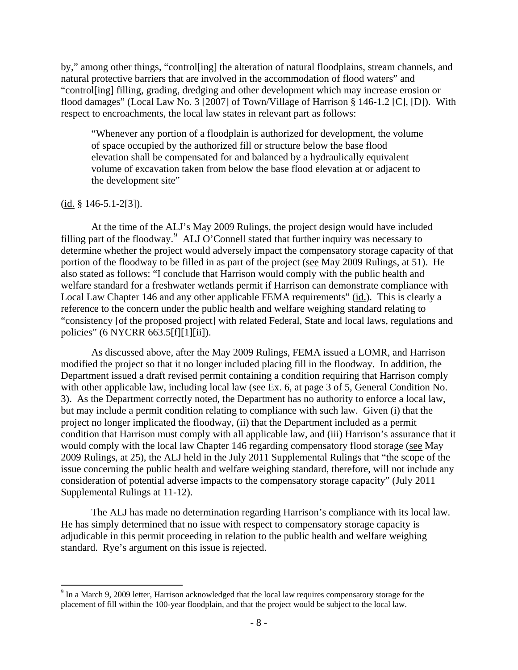by," among other things, "control[ing] the alteration of natural floodplains, stream channels, and natural protective barriers that are involved in the accommodation of flood waters" and "control[ing] filling, grading, dredging and other development which may increase erosion or flood damages" (Local Law No. 3 [2007] of Town/Village of Harrison § 146-1.2 [C], [D]). With respect to encroachments, the local law states in relevant part as follows:

"Whenever any portion of a floodplain is authorized for development, the volume of space occupied by the authorized fill or structure below the base flood elevation shall be compensated for and balanced by a hydraulically equivalent volume of excavation taken from below the base flood elevation at or adjacent to the development site"

#### $(id. § 146-5.1-2[3]).$

At the time of the ALJ's May 2009 Rulings, the project design would have included filling part of the floodway.<sup>[9](#page-8-0)</sup> ALJ O'Connell stated that further inquiry was necessary to determine whether the project would adversely impact the compensatory storage capacity of that portion of the floodway to be filled in as part of the project (see May 2009 Rulings, at 51). He also stated as follows: "I conclude that Harrison would comply with the public health and welfare standard for a freshwater wetlands permit if Harrison can demonstrate compliance with Local Law Chapter 146 and any other applicable FEMA requirements" (id.). This is clearly a reference to the concern under the public health and welfare weighing standard relating to "consistency [of the proposed project] with related Federal, State and local laws, regulations and policies" (6 NYCRR 663.5[f][1][ii]).

 As discussed above, after the May 2009 Rulings, FEMA issued a LOMR, and Harrison modified the project so that it no longer included placing fill in the floodway. In addition, the Department issued a draft revised permit containing a condition requiring that Harrison comply with other applicable law, including local law (see Ex. 6, at page 3 of 5, General Condition No. 3). As the Department correctly noted, the Department has no authority to enforce a local law, but may include a permit condition relating to compliance with such law. Given (i) that the project no longer implicated the floodway, (ii) that the Department included as a permit condition that Harrison must comply with all applicable law, and (iii) Harrison's assurance that it would comply with the local law Chapter 146 regarding compensatory flood storage (see May 2009 Rulings, at 25), the ALJ held in the July 2011 Supplemental Rulings that "the scope of the issue concerning the public health and welfare weighing standard, therefore, will not include any consideration of potential adverse impacts to the compensatory storage capacity" (July 2011 Supplemental Rulings at 11-12).

The ALJ has made no determination regarding Harrison's compliance with its local law. He has simply determined that no issue with respect to compensatory storage capacity is adjudicable in this permit proceeding in relation to the public health and welfare weighing standard. Rye's argument on this issue is rejected.

<span id="page-8-0"></span><sup>&</sup>lt;sup>9</sup> In a March 9, 2009 letter, Harrison acknowledged that the local law requires compensatory storage for the placement of fill within the 100-year floodplain, and that the project would be subject to the local law.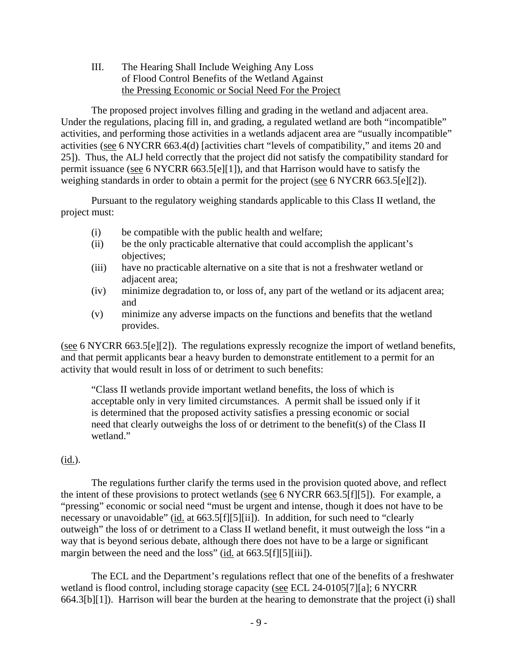# III. The Hearing Shall Include Weighing Any Loss of Flood Control Benefits of the Wetland Against the Pressing Economic or Social Need For the Project

The proposed project involves filling and grading in the wetland and adjacent area. Under the regulations, placing fill in, and grading, a regulated wetland are both "incompatible" activities, and performing those activities in a wetlands adjacent area are "usually incompatible" activities (see 6 NYCRR 663.4(d) [activities chart "levels of compatibility," and items 20 and 25]). Thus, the ALJ held correctly that the project did not satisfy the compatibility standard for permit issuance (see 6 NYCRR 663.5[e][1]), and that Harrison would have to satisfy the weighing standards in order to obtain a permit for the project (see 6 NYCRR 663.5[e][2]).

 Pursuant to the regulatory weighing standards applicable to this Class II wetland, the project must:

- (i) be compatible with the public health and welfare;
- (ii) be the only practicable alternative that could accomplish the applicant's objectives;
- (iii) have no practicable alternative on a site that is not a freshwater wetland or adjacent area;
- (iv) minimize degradation to, or loss of, any part of the wetland or its adjacent area; and
- (v) minimize any adverse impacts on the functions and benefits that the wetland provides.

(see 6 NYCRR 663.5[e][2]). The regulations expressly recognize the import of wetland benefits, and that permit applicants bear a heavy burden to demonstrate entitlement to a permit for an activity that would result in loss of or detriment to such benefits:

"Class II wetlands provide important wetland benefits, the loss of which is acceptable only in very limited circumstances. A permit shall be issued only if it is determined that the proposed activity satisfies a pressing economic or social need that clearly outweighs the loss of or detriment to the benefit(s) of the Class II wetland."

# (id.).

The regulations further clarify the terms used in the provision quoted above, and reflect the intent of these provisions to protect wetlands (see 6 NYCRR 663.5[f][5]). For example, a "pressing" economic or social need "must be urgent and intense, though it does not have to be necessary or unavoidable" (id. at 663.5[f][5][ii]). In addition, for such need to "clearly outweigh" the loss of or detriment to a Class II wetland benefit, it must outweigh the loss "in a way that is beyond serious debate, although there does not have to be a large or significant margin between the need and the loss" (id. at 663.5[f][5][iii]).

The ECL and the Department's regulations reflect that one of the benefits of a freshwater wetland is flood control, including storage capacity (see ECL 24-0105[7][a]; 6 NYCRR 664.3[b][1]). Harrison will bear the burden at the hearing to demonstrate that the project (i) shall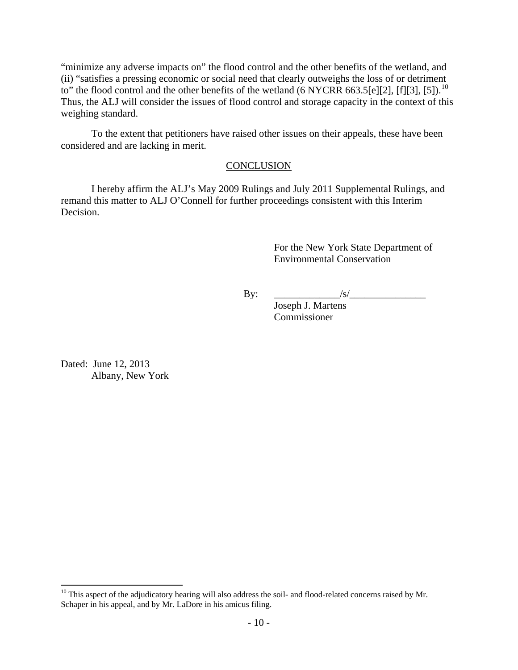"minimize any adverse impacts on" the flood control and the other benefits of the wetland, and (ii) "satisfies a pressing economic or social need that clearly outweighs the loss of or detriment to" the flood control and the other benefits of the wetland (6 NYCRR 663.5[e][2], [f][3], [5]).<sup>[10](#page-10-0)</sup> Thus, the ALJ will consider the issues of flood control and storage capacity in the context of this weighing standard.

To the extent that petitioners have raised other issues on their appeals, these have been considered and are lacking in merit.

## **CONCLUSION**

I hereby affirm the ALJ's May 2009 Rulings and July 2011 Supplemental Rulings, and remand this matter to ALJ O'Connell for further proceedings consistent with this Interim Decision.

> For the New York State Department of Environmental Conservation

By: \_\_\_\_\_\_\_\_\_\_\_\_\_/s/\_\_\_\_\_\_\_\_\_\_\_\_\_\_\_

 Joseph J. Martens Commissioner

Dated: June 12, 2013 Albany, New York

<span id="page-10-0"></span> $10$  This aspect of the adjudicatory hearing will also address the soil- and flood-related concerns raised by Mr. Schaper in his appeal, and by Mr. LaDore in his amicus filing.